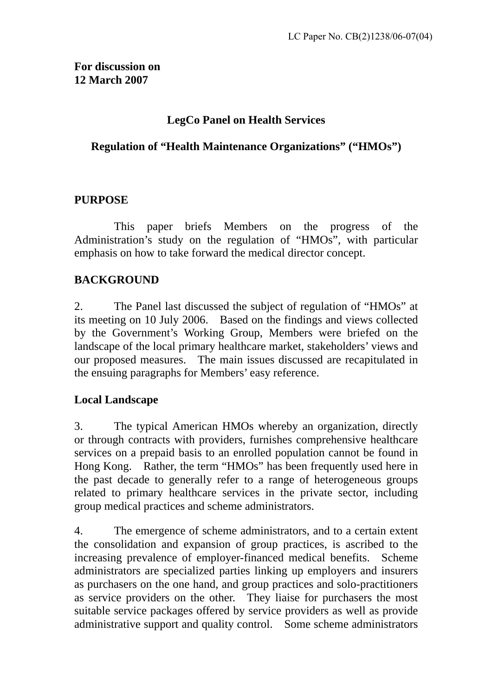# **LegCo Panel on Health Services**

## **Regulation of "Health Maintenance Organizations" ("HMOs")**

# **PURPOSE**

1 This paper briefs Members on the progress of the Administration's study on the regulation of "HMOs", with particular emphasis on how to take forward the medical director concept.

# **BACKGROUND**

2. The Panel last discussed the subject of regulation of "HMOs" at its meeting on 10 July 2006. Based on the findings and views collected by the Government's Working Group, Members were briefed on the landscape of the local primary healthcare market, stakeholders' views and our proposed measures. The main issues discussed are recapitulated in the ensuing paragraphs for Members' easy reference.

# **Local Landscape**

3. The typical American HMOs whereby an organization, directly or through contracts with providers, furnishes comprehensive healthcare services on a prepaid basis to an enrolled population cannot be found in Hong Kong. Rather, the term "HMOs" has been frequently used here in the past decade to generally refer to a range of heterogeneous groups related to primary healthcare services in the private sector, including group medical practices and scheme administrators.

4. The emergence of scheme administrators, and to a certain extent the consolidation and expansion of group practices, is ascribed to the increasing prevalence of employer-financed medical benefits. Scheme administrators are specialized parties linking up employers and insurers as purchasers on the one hand, and group practices and solo-practitioners as service providers on the other. They liaise for purchasers the most suitable service packages offered by service providers as well as provide administrative support and quality control. Some scheme administrators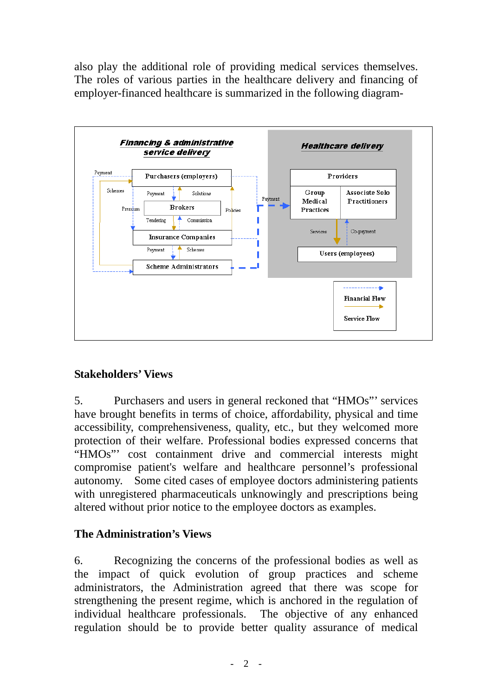also play the additional role of providing medical services themselves. The roles of various parties in the healthcare delivery and financing of employer-financed healthcare is summarized in the following diagram-



# **Stakeholders' Views**

5. Purchasers and users in general reckoned that "HMOs"' services have brought benefits in terms of choice, affordability, physical and time accessibility, comprehensiveness, quality, etc., but they welcomed more protection of their welfare. Professional bodies expressed concerns that "HMOs"' cost containment drive and commercial interests might compromise patient's welfare and healthcare personnel's professional autonomy. Some cited cases of employee doctors administering patients with unregistered pharmaceuticals unknowingly and prescriptions being altered without prior notice to the employee doctors as examples.

### **The Administration's Views**

6. Recognizing the concerns of the professional bodies as well as the impact of quick evolution of group practices and scheme administrators, the Administration agreed that there was scope for strengthening the present regime, which is anchored in the regulation of individual healthcare professionals. The objective of any enhanced regulation should be to provide better quality assurance of medical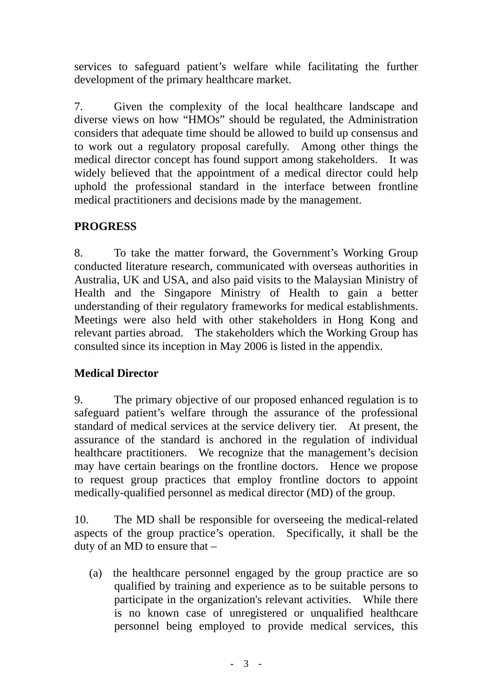services to safeguard patient's welfare while facilitating the further development of the primary healthcare market.

7. Given the complexity of the local healthcare landscape and diverse views on how "HMOs" should be regulated, the Administration considers that adequate time should be allowed to build up consensus and to work out a regulatory proposal carefully. Among other things the medical director concept has found support among stakeholders. It was widely believed that the appointment of a medical director could help uphold the professional standard in the interface between frontline medical practitioners and decisions made by the management.

# **PROGRESS**

8. To take the matter forward, the Government's Working Group conducted literature research, communicated with overseas authorities in Australia, UK and USA, and also paid visits to the Malaysian Ministry of Health and the Singapore Ministry of Health to gain a better understanding of their regulatory frameworks for medical establishments. Meetings were also held with other stakeholders in Hong Kong and relevant parties abroad. The stakeholders which the Working Group has consulted since its inception in May 2006 is listed in the appendix.

# **Medical Director**

9. The primary objective of our proposed enhanced regulation is to safeguard patient's welfare through the assurance of the professional standard of medical services at the service delivery tier. At present, the assurance of the standard is anchored in the regulation of individual healthcare practitioners. We recognize that the management's decision may have certain bearings on the frontline doctors. Hence we propose to request group practices that employ frontline doctors to appoint medically-qualified personnel as medical director (MD) of the group.

10. The MD shall be responsible for overseeing the medical-related aspects of the group practice's operation. Specifically, it shall be the duty of an MD to ensure that –

(a) the healthcare personnel engaged by the group practice are so qualified by training and experience as to be suitable persons to participate in the organization's relevant activities. While there is no known case of unregistered or unqualified healthcare personnel being employed to provide medical services, this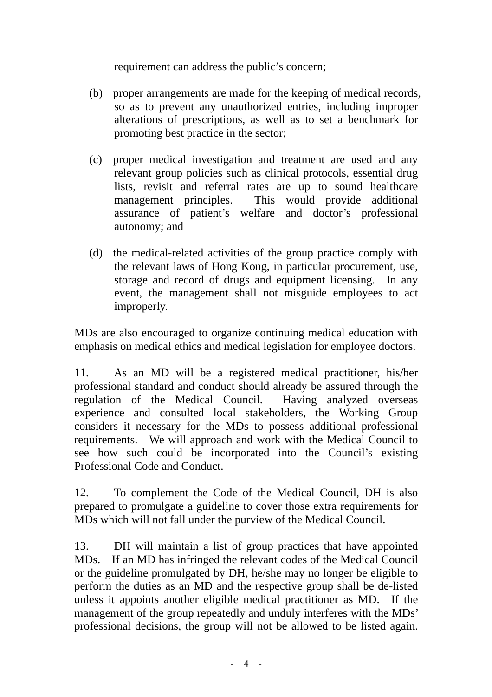requirement can address the public's concern;

- (b) proper arrangements are made for the keeping of medical records, so as to prevent any unauthorized entries, including improper alterations of prescriptions, as well as to set a benchmark for promoting best practice in the sector;
- (c) proper medical investigation and treatment are used and any relevant group policies such as clinical protocols, essential drug lists, revisit and referral rates are up to sound healthcare management principles. This would provide additional assurance of patient's welfare and doctor's professional autonomy; and
- (d) the medical-related activities of the group practice comply with the relevant laws of Hong Kong, in particular procurement, use, storage and record of drugs and equipment licensing. In any event, the management shall not misguide employees to act improperly.

MDs are also encouraged to organize continuing medical education with emphasis on medical ethics and medical legislation for employee doctors.

11. As an MD will be a registered medical practitioner, his/her professional standard and conduct should already be assured through the regulation of the Medical Council. Having analyzed overseas experience and consulted local stakeholders, the Working Group considers it necessary for the MDs to possess additional professional requirements. We will approach and work with the Medical Council to see how such could be incorporated into the Council's existing Professional Code and Conduct.

12. To complement the Code of the Medical Council, DH is also prepared to promulgate a guideline to cover those extra requirements for MDs which will not fall under the purview of the Medical Council.

13. DH will maintain a list of group practices that have appointed MDs. If an MD has infringed the relevant codes of the Medical Council or the guideline promulgated by DH, he/she may no longer be eligible to perform the duties as an MD and the respective group shall be de-listed unless it appoints another eligible medical practitioner as MD. If the management of the group repeatedly and unduly interferes with the MDs' professional decisions, the group will not be allowed to be listed again.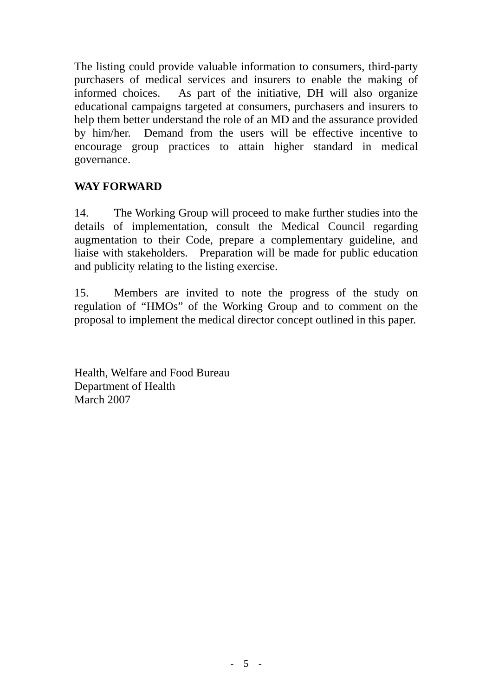The listing could provide valuable information to consumers, third-party purchasers of medical services and insurers to enable the making of informed choices. As part of the initiative, DH will also organize educational campaigns targeted at consumers, purchasers and insurers to help them better understand the role of an MD and the assurance provided by him/her. Demand from the users will be effective incentive to encourage group practices to attain higher standard in medical governance.

# **WAY FORWARD**

14. The Working Group will proceed to make further studies into the details of implementation, consult the Medical Council regarding augmentation to their Code, prepare a complementary guideline, and liaise with stakeholders. Preparation will be made for public education and publicity relating to the listing exercise.

15. Members are invited to note the progress of the study on regulation of "HMOs" of the Working Group and to comment on the proposal to implement the medical director concept outlined in this paper.

Health, Welfare and Food Bureau Department of Health March 2007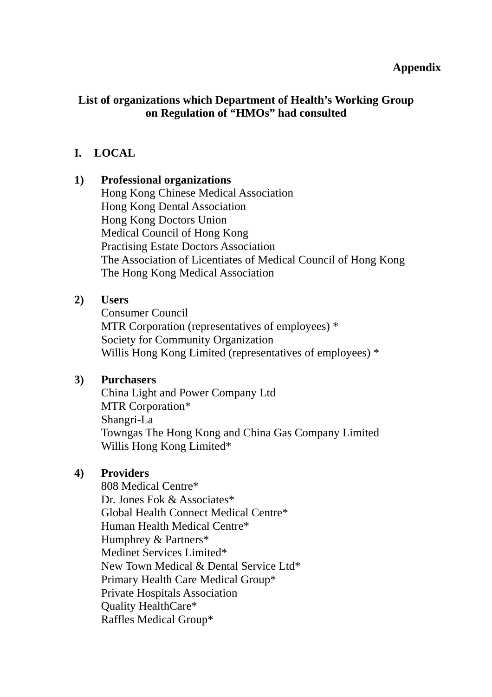#### **Appendix**

## **List of organizations which Department of Health's Working Group on Regulation of "HMOs" had consulted**

## **I. LOCAL**

#### **1) Professional organizations**

Hong Kong Chinese Medical Association Hong Kong Dental Association Hong Kong Doctors Union Medical Council of Hong Kong Practising Estate Doctors Association The Association of Licentiates of Medical Council of Hong Kong The Hong Kong Medical Association

### **2) Users**

Consumer Council MTR Corporation (representatives of employees) \* Society for Community Organization Willis Hong Kong Limited (representatives of employees)  $*$ 

### **3) Purchasers**

China Light and Power Company Ltd MTR Corporation\* Shangri-La Towngas The Hong Kong and China Gas Company Limited Willis Hong Kong Limited\*

### **4) Providers**

808 Medical Centre\* Dr. Jones Fok & Associates\* Global Health Connect Medical Centre\* Human Health Medical Centre\* Humphrey & Partners\* Medinet Services Limited\* New Town Medical & Dental Service Ltd\* Primary Health Care Medical Group\* Private Hospitals Association Quality HealthCare\* Raffles Medical Group\*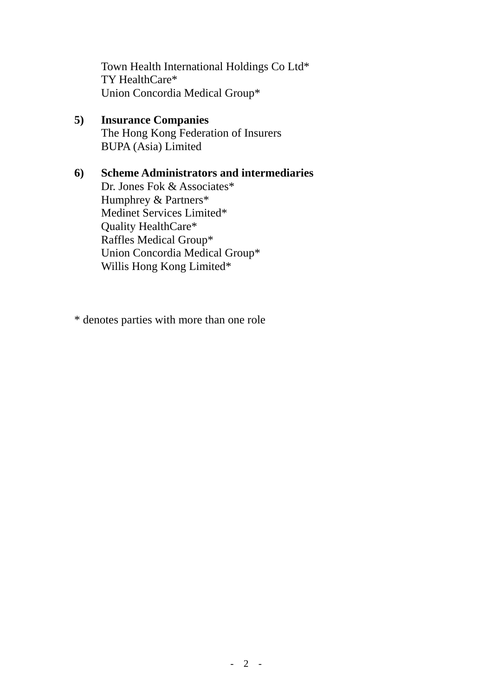Town Health International Holdings Co Ltd\* TY HealthCare\* Union Concordia Medical Group\*

**5) Insurance Companies** The Hong Kong Federation of Insurers BUPA (Asia) Limited

## **6) Scheme Administrators and intermediaries**  Dr. Jones Fok & Associates\* Humphrey & Partners\* Medinet Services Limited\* Quality HealthCare\* Raffles Medical Group\* Union Concordia Medical Group\* Willis Hong Kong Limited\*

\* denotes parties with more than one role